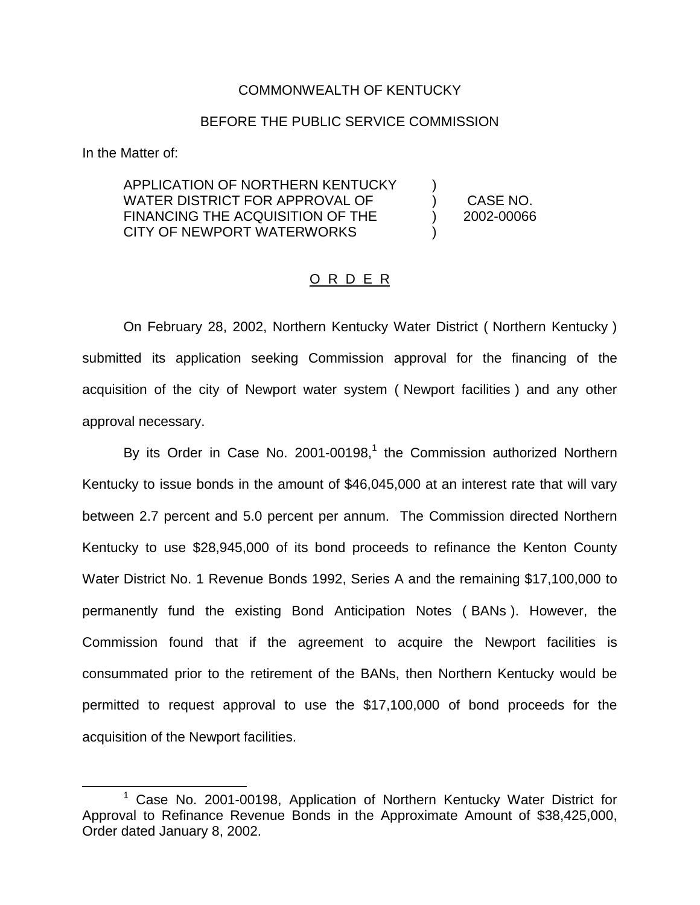## COMMONWEALTH OF KENTUCKY

## BEFORE THE PUBLIC SERVICE COMMISSION

In the Matter of:

APPLICATION OF NORTHERN KENTUCKY WATER DISTRICT FOR APPROVAL OF FINANCING THE ACQUISITION OF THE CITY OF NEWPORT WATERWORKS

) CASE NO. ) 2002-00066

)

)

## O R D E R

On February 28, 2002, Northern Kentucky Water District ( Northern Kentucky ) submitted its application seeking Commission approval for the financing of the acquisition of the city of Newport water system ( Newport facilities ) and any other approval necessary.

By its Order in Case No. 2001-00198, $<sup>1</sup>$  the Commission authorized Northern</sup> Kentucky to issue bonds in the amount of \$46,045,000 at an interest rate that will vary between 2.7 percent and 5.0 percent per annum. The Commission directed Northern Kentucky to use \$28,945,000 of its bond proceeds to refinance the Kenton County Water District No. 1 Revenue Bonds 1992, Series A and the remaining \$17,100,000 to permanently fund the existing Bond Anticipation Notes ( BANs ). However, the Commission found that if the agreement to acquire the Newport facilities is consummated prior to the retirement of the BANs, then Northern Kentucky would be permitted to request approval to use the \$17,100,000 of bond proceeds for the acquisition of the Newport facilities.

<sup>&</sup>lt;sup>1</sup> Case No. 2001-00198, Application of Northern Kentucky Water District for Approval to Refinance Revenue Bonds in the Approximate Amount of \$38,425,000, Order dated January 8, 2002.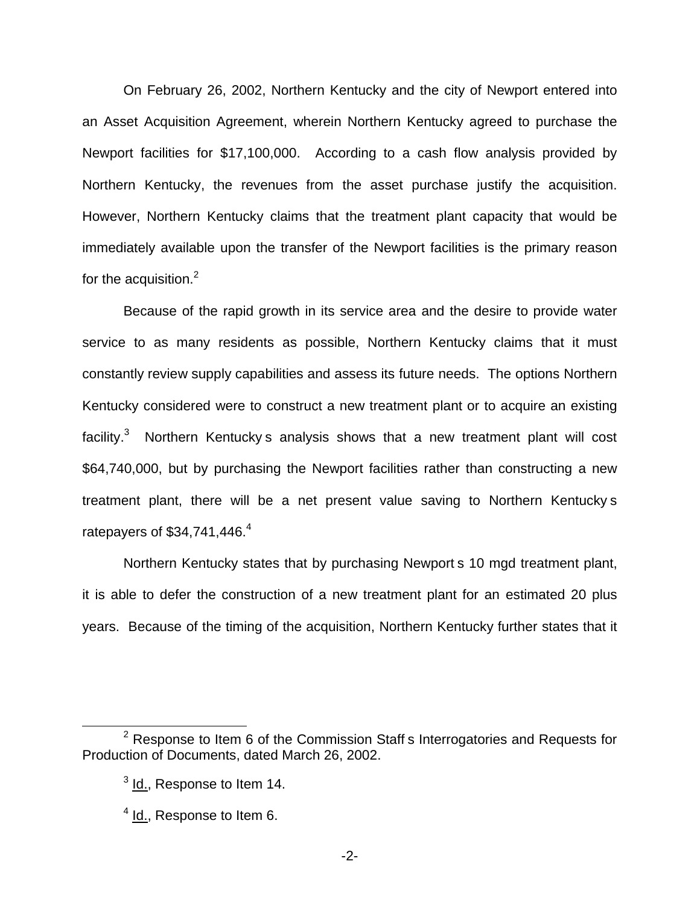On February 26, 2002, Northern Kentucky and the city of Newport entered into an Asset Acquisition Agreement, wherein Northern Kentucky agreed to purchase the Newport facilities for \$17,100,000. According to a cash flow analysis provided by Northern Kentucky, the revenues from the asset purchase justify the acquisition. However, Northern Kentucky claims that the treatment plant capacity that would be immediately available upon the transfer of the Newport facilities is the primary reason for the acquisition.<sup>2</sup>

Because of the rapid growth in its service area and the desire to provide water service to as many residents as possible, Northern Kentucky claims that it must constantly review supply capabilities and assess its future needs. The options Northern Kentucky considered were to construct a new treatment plant or to acquire an existing facility. $3$  Northern Kentucky s analysis shows that a new treatment plant will cost \$64,740,000, but by purchasing the Newport facilities rather than constructing a new treatment plant, there will be a net present value saving to Northern Kentucky s ratepayers of  $$34,741,446.<sup>4</sup>$ 

Northern Kentucky states that by purchasing Newport s 10 mgd treatment plant, it is able to defer the construction of a new treatment plant for an estimated 20 plus years. Because of the timing of the acquisition, Northern Kentucky further states that it

 $2$  Response to Item 6 of the Commission Staff s Interrogatories and Requests for Production of Documents, dated March 26, 2002.

 $3$  Id., Response to Item 14.

 $<sup>4</sup>$  Id., Response to Item 6.</sup>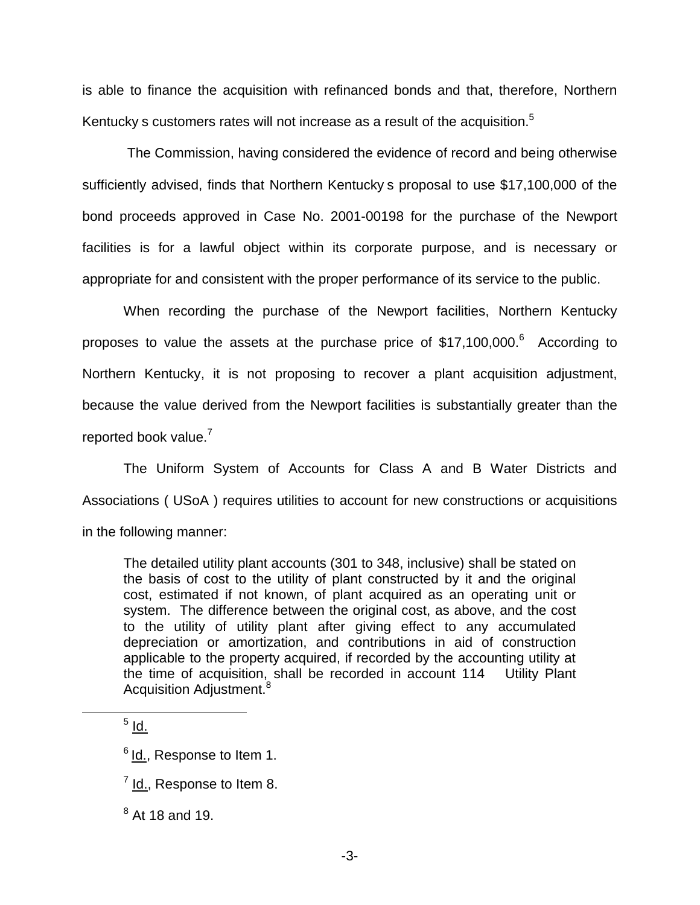is able to finance the acquisition with refinanced bonds and that, therefore, Northern Kentucky s customers rates will not increase as a result of the acquisition.<sup>5</sup>

The Commission, having considered the evidence of record and being otherwise sufficiently advised, finds that Northern Kentucky s proposal to use \$17,100,000 of the bond proceeds approved in Case No. 2001-00198 for the purchase of the Newport facilities is for a lawful object within its corporate purpose, and is necessary or appropriate for and consistent with the proper performance of its service to the public.

When recording the purchase of the Newport facilities, Northern Kentucky proposes to value the assets at the purchase price of  $$17,100,000$ .<sup>6</sup> According to Northern Kentucky, it is not proposing to recover a plant acquisition adjustment, because the value derived from the Newport facilities is substantially greater than the reported book value.<sup>7</sup>

The Uniform System of Accounts for Class A and B Water Districts and Associations ( USoA ) requires utilities to account for new constructions or acquisitions in the following manner:

The detailed utility plant accounts (301 to 348, inclusive) shall be stated on the basis of cost to the utility of plant constructed by it and the original cost, estimated if not known, of plant acquired as an operating unit or system. The difference between the original cost, as above, and the cost to the utility of utility plant after giving effect to any accumulated depreciation or amortization, and contributions in aid of construction applicable to the property acquired, if recorded by the accounting utility at the time of acquisition, shall be recorded in account 114 Utility Plant Acquisition Adjustment.<sup>8</sup>

 $<sup>5</sup>$  Id.</sup>

 $8$  At 18 and 19.

<sup>&</sup>lt;sup>6</sup> Id., Response to Item 1.

 $<sup>7</sup>$  Id., Response to Item 8.</sup>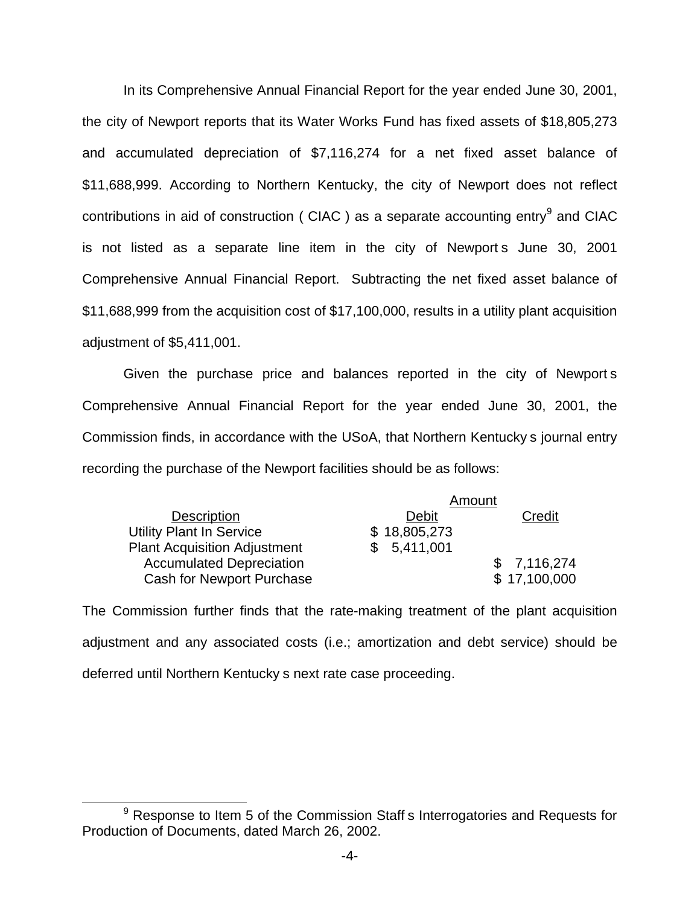In its Comprehensive Annual Financial Report for the year ended June 30, 2001, the city of Newport reports that its Water Works Fund has fixed assets of \$18,805,273 and accumulated depreciation of \$7,116,274 for a net fixed asset balance of \$11,688,999. According to Northern Kentucky, the city of Newport does not reflect contributions in aid of construction (CIAC) as a separate accounting entry  $9$  and CIAC is not listed as a separate line item in the city of Newport s June 30, 2001 Comprehensive Annual Financial Report. Subtracting the net fixed asset balance of \$11,688,999 from the acquisition cost of \$17,100,000, results in a utility plant acquisition adjustment of \$5,411,001.

Given the purchase price and balances reported in the city of Newport s Comprehensive Annual Financial Report for the year ended June 30, 2001, the Commission finds, in accordance with the USoA, that Northern Kentucky s journal entry recording the purchase of the Newport facilities should be as follows:

|                                     | Amount       |              |
|-------------------------------------|--------------|--------------|
| <b>Description</b>                  | Debit        | Credit       |
| <b>Utility Plant In Service</b>     | \$18,805,273 |              |
| <b>Plant Acquisition Adjustment</b> | \$5,411,001  |              |
| <b>Accumulated Depreciation</b>     |              | \$7,116,274  |
| <b>Cash for Newport Purchase</b>    |              | \$17,100,000 |

The Commission further finds that the rate-making treatment of the plant acquisition adjustment and any associated costs (i.e.; amortization and debt service) should be deferred until Northern Kentucky s next rate case proceeding.

 $9$  Response to Item 5 of the Commission Staff s Interrogatories and Requests for Production of Documents, dated March 26, 2002.